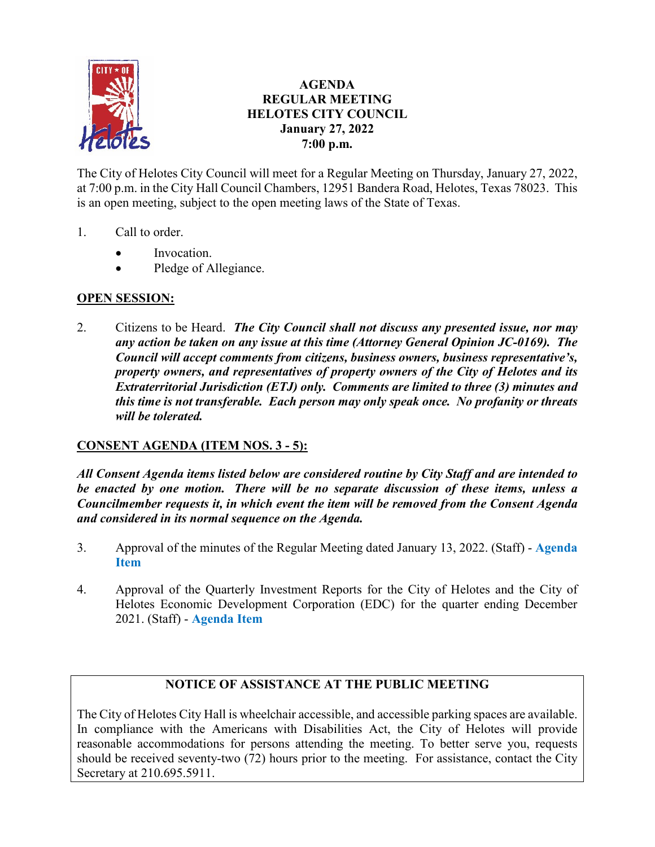

# **AGENDA REGULAR MEETING HELOTES CITY COUNCIL January 27, 2022 7:00 p.m.**

The City of Helotes City Council will meet for a Regular Meeting on Thursday, January 27, 2022, at 7:00 p.m. in the City Hall Council Chambers, 12951 Bandera Road, Helotes, Texas 78023. This is an open meeting, subject to the open meeting laws of the State of Texas.

- 1. Call to order.
	- Invocation.
	- Pledge of Allegiance.

# **OPEN SESSION:**

2. Citizens to be Heard. *The City Council shall not discuss any presented issue, nor may any action be taken on any issue at this time (Attorney General Opinion JC-0169). The Council will accept comments from citizens, business owners, business representative's, property owners, and representatives of property owners of the City of Helotes and its Extraterritorial Jurisdiction (ETJ) only. Comments are limited to three (3) minutes and this time is not transferable. Each person may only speak once. No profanity or threats will be tolerated.*

# **CONSENT AGENDA (ITEM NOS. 3 - 5):**

*All Consent Agenda items listed below are considered routine by City Staff and are intended to be enacted by one motion. There will be no separate discussion of these items, unless a Councilmember requests it, in which event the item will be removed from the Consent Agenda and considered in its normal sequence on the Agenda.*

- 3. Approval of the minutes of the Regular Meeting dated January 13, 2022. (Staff) **[Agenda](https://www.helotes-tx.gov/wp-content/uploads/2022/01/3-Minutes-1.pdf)  [Item](https://www.helotes-tx.gov/wp-content/uploads/2022/01/3-Minutes-1.pdf)**
- 4. Approval of the Quarterly Investment Reports for the City of Helotes and the City of Helotes Economic Development Corporation (EDC) for the quarter ending December 2021. (Staff) - **[Agenda Item](https://www.helotes-tx.gov/wp-content/uploads/2022/01/4-Quarterly-Report.pdf)**

# **NOTICE OF ASSISTANCE AT THE PUBLIC MEETING**

The City of Helotes City Hall is wheelchair accessible, and accessible parking spaces are available. In compliance with the Americans with Disabilities Act, the City of Helotes will provide reasonable accommodations for persons attending the meeting. To better serve you, requests should be received seventy-two (72) hours prior to the meeting. For assistance, contact the City Secretary at 210.695.5911.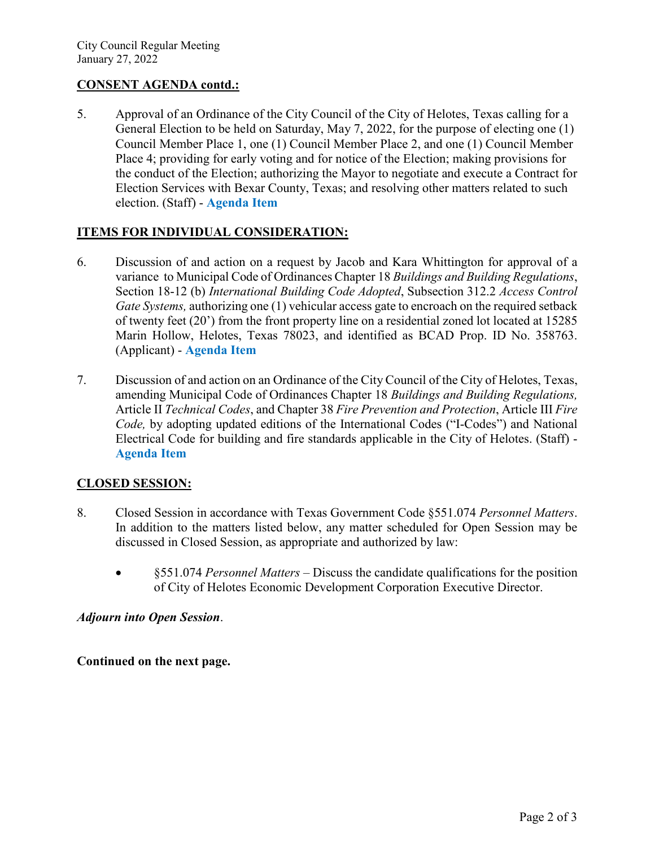#### **CONSENT AGENDA contd.:**

5. Approval of an Ordinance of the City Council of the City of Helotes, Texas calling for a General Election to be held on Saturday, May 7, 2022, for the purpose of electing one (1) Council Member Place 1, one (1) Council Member Place 2, and one (1) Council Member Place 4; providing for early voting and for notice of the Election; making provisions for the conduct of the Election; authorizing the Mayor to negotiate and execute a Contract for Election Services with Bexar County, Texas; and resolving other matters related to such election. (Staff) - **[Agenda Item](https://www.helotes-tx.gov/wp-content/uploads/2022/01/5-Election.pdf)**

#### **ITEMS FOR INDIVIDUAL CONSIDERATION:**

- 6. Discussion of and action on a request by Jacob and Kara Whittington for approval of a variance to Municipal Code of Ordinances Chapter 18 *Buildings and Building Regulations*, Section 18-12 (b) *International Building Code Adopted*, Subsection 312.2 *Access Control Gate Systems,* authorizing one (1) vehicular access gate to encroach on the required setback of twenty feet (20') from the front property line on a residential zoned lot located at 15285 Marin Hollow, Helotes, Texas 78023, and identified as BCAD Prop. ID No. 358763. (Applicant) - **[Agenda Item](https://www.helotes-tx.gov/wp-content/uploads/2022/01/6-Whittington-Variance.pdf)**
- 7. Discussion of and action on an Ordinance of the City Council of the City of Helotes, Texas, amending Municipal Code of Ordinances Chapter 18 *Buildings and Building Regulations,* Article II *Technical Codes*, and Chapter 38 *Fire Prevention and Protection*, Article III *Fire Code,* by adopting updated editions of the International Codes ("I-Codes") and National Electrical Code for building and fire standards applicable in the City of Helotes. (Staff) - **[Agenda Item](https://www.helotes-tx.gov/wp-content/uploads/2022/01/7-Building-Fire-Codes.pdf)**

# **CLOSED SESSION:**

- 8. Closed Session in accordance with Texas Government Code §551.074 *Personnel Matters*. In addition to the matters listed below, any matter scheduled for Open Session may be discussed in Closed Session, as appropriate and authorized by law:
	- §551.074 *Personnel Matters* Discuss the candidate qualifications for the position of City of Helotes Economic Development Corporation Executive Director.

#### *Adjourn into Open Session*.

# **Continued on the next page.**